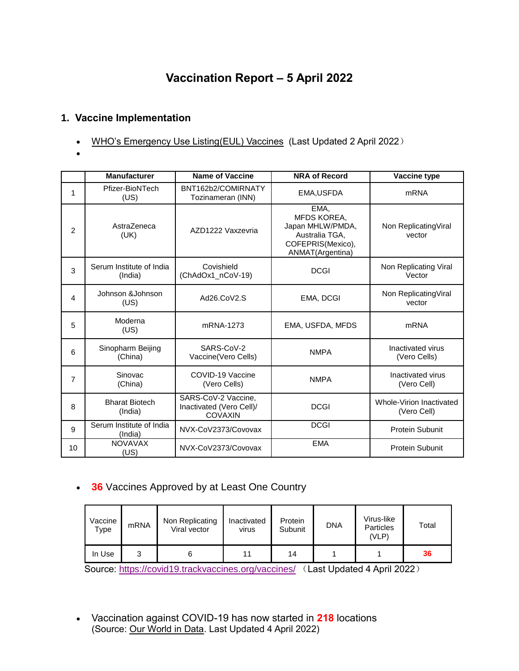# **Vaccination Report – 5 April 2022**

## **1. Vaccine Implementation**

- [WHO's Emergency Use Listing\(EUL\) Vaccines](https://extranet.who.int/pqweb/sites/default/files/documents/Status_COVID_VAX_02April2022.pdf) (Last Updated 2 April 2022)
- $\bullet$

|                | <b>Manufacturer</b>                 | <b>Name of Vaccine</b>                                            | <b>NRA of Record</b>                                                                               | Vaccine type                            |
|----------------|-------------------------------------|-------------------------------------------------------------------|----------------------------------------------------------------------------------------------------|-----------------------------------------|
| 1              | Pfizer-BioNTech<br>(US)             | BNT162b2/COMIRNATY<br>Tozinameran (INN)                           | EMA, USFDA                                                                                         | <b>mRNA</b>                             |
| $\overline{2}$ | AstraZeneca<br>(UK)                 | AZD1222 Vaxzevria                                                 | EMA,<br>MFDS KOREA,<br>Japan MHLW/PMDA,<br>Australia TGA,<br>COFEPRIS(Mexico),<br>ANMAT(Argentina) | Non Replicating Viral<br>vector         |
| 3              | Serum Institute of India<br>(India) | Covishield<br>(ChAdOx1_nCoV-19)                                   | <b>DCGI</b>                                                                                        | Non Replicating Viral<br>Vector         |
| 4              | Johnson &Johnson<br>(US)            | Ad26.CoV2.S                                                       | EMA, DCGI                                                                                          | Non ReplicatingViral<br>vector          |
| 5              | Moderna<br>(US)                     | mRNA-1273                                                         | EMA, USFDA, MFDS                                                                                   | <b>mRNA</b>                             |
| 6              | Sinopharm Beijing<br>(China)        | SARS-CoV-2<br>Vaccine(Vero Cells)                                 | <b>NMPA</b>                                                                                        | Inactivated virus<br>(Vero Cells)       |
| 7              | Sinovac<br>(China)                  | COVID-19 Vaccine<br>(Vero Cells)                                  | <b>NMPA</b>                                                                                        | Inactivated virus<br>(Vero Cell)        |
| 8              | <b>Bharat Biotech</b><br>(India)    | SARS-CoV-2 Vaccine,<br>Inactivated (Vero Cell)/<br><b>COVAXIN</b> | <b>DCGI</b>                                                                                        | Whole-Virion Inactivated<br>(Vero Cell) |
| 9              | Serum Institute of India<br>(India) | NVX-CoV2373/Covovax                                               | <b>DCGI</b>                                                                                        | Protein Subunit                         |
| 10             | <b>NOVAVAX</b><br>(US)              | NVX-CoV2373/Covovax                                               | <b>EMA</b>                                                                                         | Protein Subunit                         |

# **36** Vaccines Approved by at Least One Country

| Vaccine<br>Type | <b>mRNA</b> | Non Replicating<br>Viral vector | Inactivated<br>virus | Protein<br>Subunit | <b>DNA</b> | Virus-like<br><b>Particles</b><br>(VLP) | Total |
|-----------------|-------------|---------------------------------|----------------------|--------------------|------------|-----------------------------------------|-------|
| In Use          |             |                                 |                      | 14                 |            |                                         | 36    |

Source:<https://covid19.trackvaccines.org/vaccines/> (Last Updated 4 April 2022)

 Vaccination against COVID-19 has now started in **218** locations (Source: [Our World in Data.](https://ourworldindata.org/covid-vaccinations) Last Updated 4 April 2022)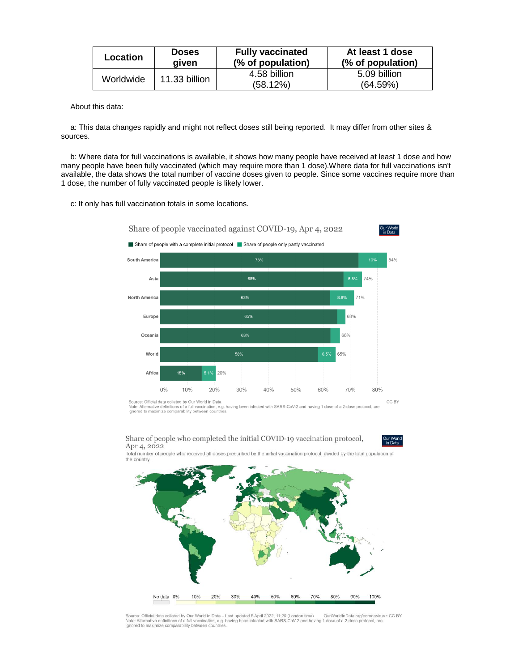| Location  | <b>Doses</b>  | <b>Fully vaccinated</b>  | At least 1 dose          |
|-----------|---------------|--------------------------|--------------------------|
|           | aiven         | (% of population)        | (% of population)        |
| Worldwide | 11.33 billion | 4.58 billion<br>(58.12%) | 5.09 billion<br>(64.59%) |

About this data:

a: This data changes rapidly and might not reflect doses still being reported. It may differ from other sites & sources.

b: Where data for full vaccinations is available, it shows how many people have received at least 1 dose and how many people have been fully vaccinated (which may require more than 1 dose).Where data for full vaccinations isn't available, the data shows the total number of vaccine doses given to people. Since some vaccines require more than 1 dose, the number of fully vaccinated people is likely lower.

c: It only has full vaccination totals in some locations.



Source: Official data collated by Our World in Data<br>Note: Alternative definitions of a full vaccination, e.g. having been infected with SARS-CoV-2 and having 1 dose of a 2-dose protocol, are<br>ignored to maximize comparabili

Share of people who completed the initial COVID-19 vaccination protocol, Apr 4, 2022

Total number of people who received all doses prescribed by the initial vaccination protocol, divided by the total population of<br>Total number of people who received all doses prescribed by the initial vaccination protocol,



Source: Official data collated by Our World in Data - Last updated 5 April 2022, 11:20 (London time) OurWorldInData.org/coronavirus<br>Note: Alternative definitions of a full vaccination, e.g. having been infected with SARS-C OurWorldInData.org/coronavirus . CC BY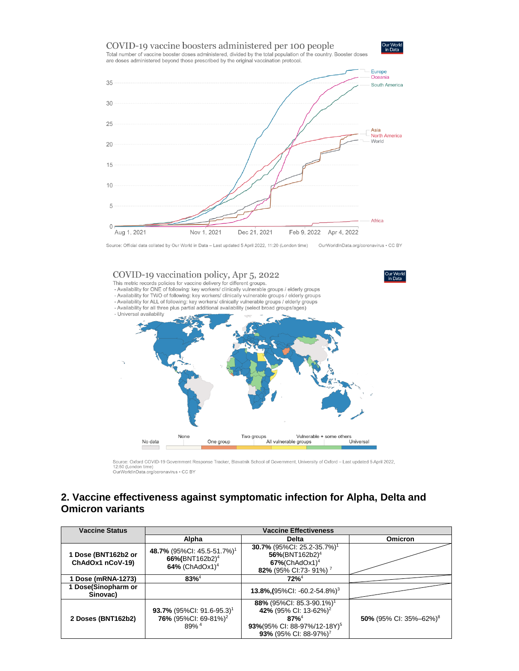

Source: Official data collated by Our World in Data - Last updated 5 April 2022, 11:20 (London time) OurWorldInData.org/coronavirus . CC BY



Source: Oxford COVID-19 Government Response Tracker, Blavatnik School of Government, University of Oxford - Last updated 5 April 2022, Source: Oxiora COVID-19 Government R<br>12:50 (London time)<br>OurWorldInData.org/coronavirus • CC BY

#### **2. Vaccine effectiveness against symptomatic infection for Alpha, Delta and Omicron variants**

| <b>Vaccine Status</b>                   | <b>Vaccine Effectiveness</b>                                                                    |                                                                                                                                                                        |                                    |  |
|-----------------------------------------|-------------------------------------------------------------------------------------------------|------------------------------------------------------------------------------------------------------------------------------------------------------------------------|------------------------------------|--|
|                                         | Alpha                                                                                           | Delta                                                                                                                                                                  | Omicron                            |  |
| 1 Dose (BNT162b2 or<br>ChAdOx1 nCoV-19) | 48.7% (95%CI: 45.5-51.7%) <sup>1</sup><br>66%(BNT162b2) <sup>4</sup><br>64% (ChAdOx1) $4$       | 30.7% (95%Cl: 25.2-35.7%) <sup>1</sup><br>56%(BNT162b2) <sup>4</sup><br>$67\%$ (ChAdOx1) <sup>4</sup><br>82% (95% CI:73-91%) <sup>7</sup>                              |                                    |  |
| 1 Dose (mRNA-1273)                      | $83\%^{4}$                                                                                      | $72%^{4}$                                                                                                                                                              |                                    |  |
| Dose(Sinopharm or<br>Sinovac)           |                                                                                                 | 13.8% (95% CI: -60.2-54.8%) <sup>3</sup>                                                                                                                               |                                    |  |
| 2 Doses (BNT162b2)                      | 93.7% (95%CI: 91.6-95.3) <sup>1</sup><br>76% (95%CI: 69-81%) <sup>2</sup><br>$89%$ <sup>4</sup> | 88% (95%CI: 85.3-90.1%) <sup>1</sup><br>42% (95% CI: 13-62%) <sup>2</sup><br>$87%^{4}$<br>93%(95% CI: 88-97%/12-18Y) <sup>5</sup><br>93% (95% CI: 88-97%) <sup>7</sup> | 50% (95% CI: 35%-62%) <sup>8</sup> |  |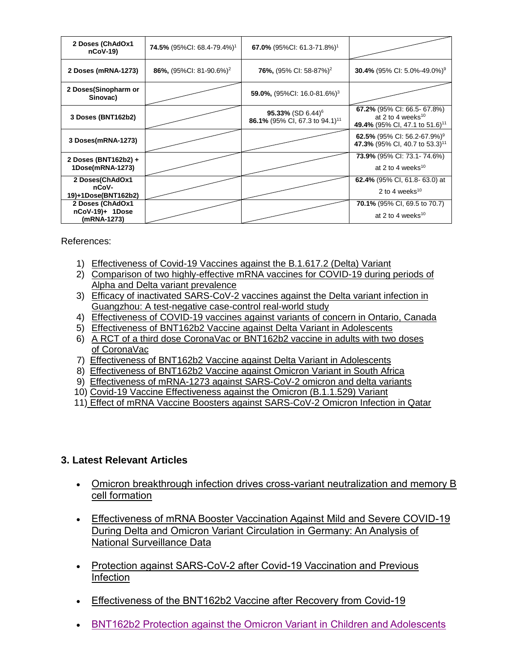| 2 Doses (ChAdOx1<br>$nCoV-19$                      | <b>74.5%</b> (95%CI: 68.4-79.4%) <sup>1</sup> | 67.0% (95%Cl: 61.3-71.8%) <sup>1</sup>                                      |                                                                                                            |
|----------------------------------------------------|-----------------------------------------------|-----------------------------------------------------------------------------|------------------------------------------------------------------------------------------------------------|
| 2 Doses (mRNA-1273)                                | 86%, $(95\%$ CI: 81-90.6%) <sup>2</sup>       | <b>76%,</b> (95% CI: 58-87%) <sup>2</sup>                                   | <b>30.4%</b> (95% CI: 5.0%-49.0%) <sup>9</sup>                                                             |
| 2 Doses(Sinopharm or<br>Sinovac)                   |                                               | 59.0%, $(95\%$ CI: 16.0-81.6%) <sup>3</sup>                                 |                                                                                                            |
| 3 Doses (BNT162b2)                                 |                                               | 95.33% (SD 6.44) <sup>6</sup><br>86.1% (95% CI, 67.3 to 94.1) <sup>11</sup> | 67.2% (95% CI: 66.5- 67.8%)<br>at 2 to 4 weeks <sup>10</sup><br>49.4% (95% CI, 47.1 to 51.6) <sup>11</sup> |
| 3 Doses(mRNA-1273)                                 |                                               |                                                                             | 62.5% (95% CI: 56.2-67.9%) <sup>9</sup><br>47.3% (95% CI, 40.7 to 53.3) <sup>11</sup>                      |
| 2 Doses (BNT162b2) +<br>1Dose(mRNA-1273)           |                                               |                                                                             | <b>73.9%</b> (95% CI: 73.1-74.6%)<br>at 2 to 4 weeks <sup>10</sup>                                         |
| 2 Doses(ChAdOx1<br>nCoV-<br>19)+1Dose(BNT162b2)    |                                               |                                                                             | <b>62.4%</b> (95% CI, 61.8-63.0) at<br>2 to 4 weeks <sup>10</sup>                                          |
| 2 Doses (ChAdOx1<br>nCoV-19)+ 1Dose<br>(mRNA-1273) |                                               |                                                                             | 70.1% (95% CI, 69.5 to 70.7)<br>at 2 to 4 weeks $10$                                                       |

References:

- 1) [Effectiveness of Covid-19 Vaccines against the B.1.617.2 \(Delta\) Variant](https://www.nejm.org/doi/pdf/10.1056/NEJMoa2108891?articleTools=true)
- 2) [Comparison of two highly-effective mRNA vaccines for COVID-19 during periods of](https://www.medrxiv.org/content/10.1101/2021.08.06.21261707v1.full.pdf)  [Alpha and Delta variant prevalence](https://www.medrxiv.org/content/10.1101/2021.08.06.21261707v1.full.pdf)
- 3) [Efficacy of inactivated SARS-CoV-2 vaccines against the Delta variant infection in](https://www.tandfonline.com/doi/full/10.1080/22221751.2021.1969291)  [Guangzhou: A test-negative case-control real-world study](https://www.tandfonline.com/doi/full/10.1080/22221751.2021.1969291)
- 4) [Effectiveness of COVID-19 vaccines against variants of concern in Ontario, Canada](https://www.medrxiv.org/content/10.1101/2021.06.28.21259420v2.full.pdf)
- 5) [Effectiveness of BNT162b2 Vaccine against Delta Variant in Adolescents](https://www.nejm.org/doi/pdf/10.1056/NEJMc2114290?articleTools=true)
- 6) [A RCT of a third dose CoronaVac or BNT162b2 vaccine in adults with two doses](https://www.medrxiv.org/content/10.1101/2021.11.02.21265843v1.full.pdf)  [of CoronaVac](https://www.medrxiv.org/content/10.1101/2021.11.02.21265843v1.full.pdf)
- 7) [Effectiveness of BNT162b2 Vaccine against Delta Variant in Adolescents](https://www.nejm.org/doi/full/10.1056/NEJMc2114290?query=featured_home)
- 8) [Effectiveness of BNT162b2 Vaccine against Omicron Variant in South Africa](https://www.nejm.org/doi/full/10.1056/NEJMc2119270)
- 9) [Effectiveness of mRNA-1273 against SARS-CoV-2 omicron and delta variants](https://www.medrxiv.org/content/10.1101/2022.01.07.22268919v1)
- 10) [Covid-19 Vaccine Effectiveness against the Omicron \(B.1.1.529\) Variant](https://www.nejm.org/doi/full/10.1056/NEJMoa2119451?query=featured_home)
- 11) [Effect of mRNA Vaccine Boosters against SARS-CoV-2 Omicron Infection in Qatar](https://www.nejm.org/doi/full/10.1056/NEJMoa2200797)

## **3. Latest Relevant Articles**

- [Omicron breakthrough infection drives cross-variant neutralization and memory B](https://www.biorxiv.org/content/10.1101/2022.04.01.486695v1)  [cell formation](https://www.biorxiv.org/content/10.1101/2022.04.01.486695v1)
- Effectiveness of mRNA [Booster Vaccination Against Mild and Severe COVID-19](https://papers.ssrn.com/sol3/papers.cfm?abstract_id=4072476)  [During Delta and Omicron Variant Circulation in Germany: An Analysis of](https://papers.ssrn.com/sol3/papers.cfm?abstract_id=4072476)  [National Surveillance Data](https://papers.ssrn.com/sol3/papers.cfm?abstract_id=4072476)
- Protection against SARS-CoV-2 after Covid-19 Vaccination and Previous [Infection](https://www.nejm.org/doi/full/10.1056/NEJMoa2118691?query=featured_home)
- [Effectiveness of the BNT162b2 Vaccine after Recovery from Covid-19](https://www.nejm.org/doi/full/10.1056/NEJMoa2119497?query=featured_home)
- [BNT162b2 Protection against the Omicron Variant in Children and Adolescents](https://www.nejm.org/doi/full/10.1056/NEJMoa2202826?query=featured_home)